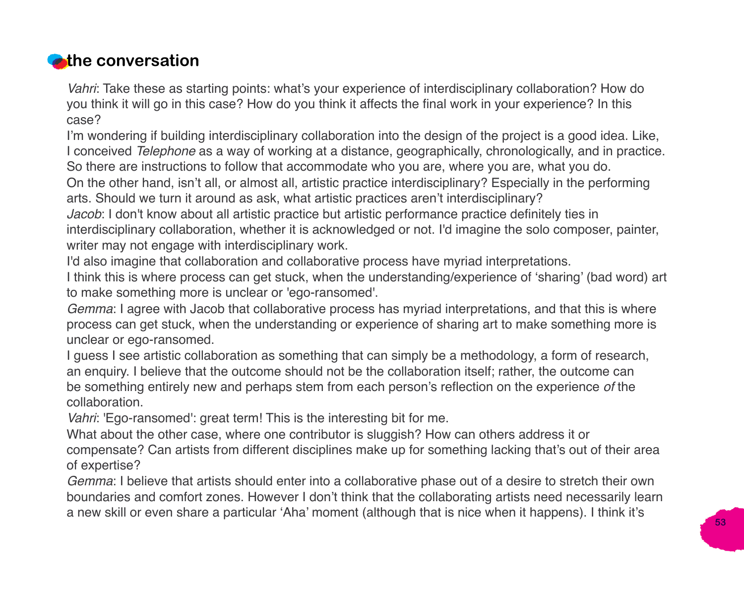## **z**the conversation

*Vahri*: Take these as starting points: what's your experience of interdisciplinary collaboration? How do you think it will go in this case? How do you think it affects the final work in your experience? In this case?

I'm wondering if building interdisciplinary collaboration into the design of the project is a good idea. Like, I conceived *Telephone* as a way of working at a distance, geographically, chronologically, and in practice. So there are instructions to follow that accommodate who you are, where you are, what you do.

On the other hand, isn't all, or almost all, artistic practice interdisciplinary? Especially in the performing arts. Should we turn it around as ask, what artistic practices aren't interdisciplinary?

*Jacob*: I don't know about all artistic practice but artistic performance practice definitely ties in interdisciplinary collaboration, whether it is acknowledged or not. I'd imagine the solo composer, painter, writer may not engage with interdisciplinary work.

I'd also imagine that collaboration and collaborative process have myriad interpretations.

I think this is where process can get stuck, when the understanding/experience of 'sharing' (bad word) art to make something more is unclear or 'ego-ransomed'.

*Gemma*: I agree with Jacob that collaborative process has myriad interpretations, and that this is where process can get stuck, when the understanding or experience of sharing art to make something more is unclear or ego-ransomed.

I guess I see artistic collaboration as something that can simply be a methodology, a form of research, an enquiry. I believe that the outcome should not be the collaboration itself; rather, the outcome can be something entirely new and perhaps stem from each person's reflection on the experience *of* the collaboration.

*Vahri*: 'Ego-ransomed': great term! This is the interesting bit for me.

What about the other case, where one contributor is sluggish? How can others address it or compensate? Can artists from different disciplines make up for something lacking that's out of their area of expertise?

*Gemma*: I believe that artists should enter into a collaborative phase out of a desire to stretch their own boundaries and comfort zones. However I don't think that the collaborating artists need necessarily learn a new skill or even share a particular 'Aha' moment (although that is nice when it happens). I think it's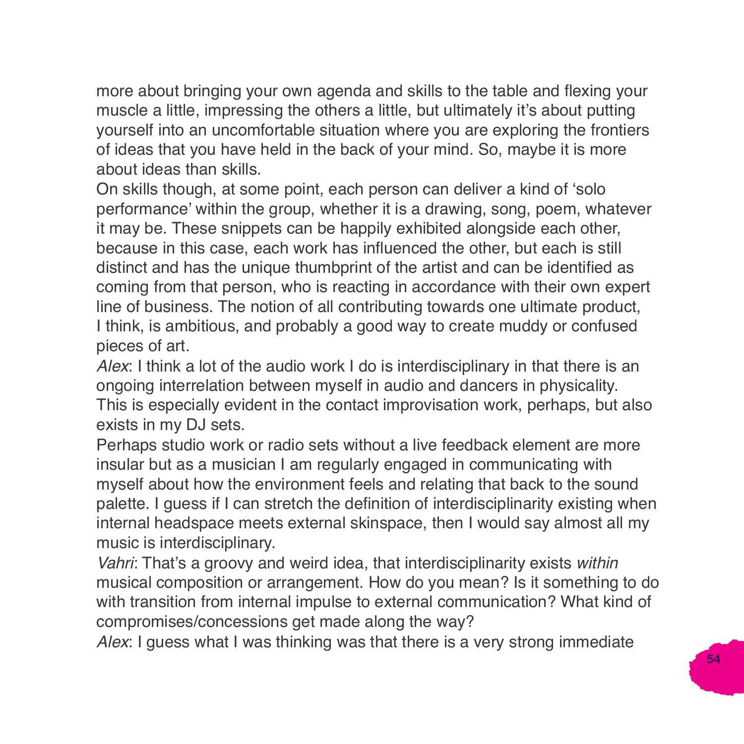more about bringing your own agenda and skills to the table and flexing your muscle a little, impressing the others a little, but ultimately it's about putting yourself into an uncomfortable situation where you are exploring the frontiers of ideas that you have held in the back of your mind. So, maybe it is more about ideas than skills.

On skills though, at some point, each person can deliver a kind of 'solo performance' within the group, whether it is a drawing, song, poem, whatever it may be. These snippets can be happily exhibited alongside each other, because in this case, each work has influenced the other, but each is still distinct and has the unique thumbprint of the artist and can be identified as coming from that person, who is reacting in accordance with their own expert line of business. The notion of all contributing towards one ultimate product, I think, is ambitious, and probably a good way to create muddy or confused pieces of art.

*Alex*: I think a lot of the audio work I do is interdisciplinary in that there is an ongoing interrelation between myself in audio and dancers in physicality. This is especially evident in the contact improvisation work, perhaps, but also exists in my DJ sets.

Perhaps studio work or radio sets without a live feedback element are more insular but as a musician I am regularly engaged in communicating with myself about how the environment feels and relating that back to the sound palette. I guess if I can stretch the definition of interdisciplinarity existing when internal headspace meets external skinspace, then I would say almost all my music is interdisciplinary.

*Vahri*: That's a groovy and weird idea, that interdisciplinarity exists *within* musical composition or arrangement. How do you mean? Is it something to do with transition from internal impulse to external communication? What kind of compromises/concessions get made along the way?

*Alex*: I guess what I was thinking was that there is a very strong immediate